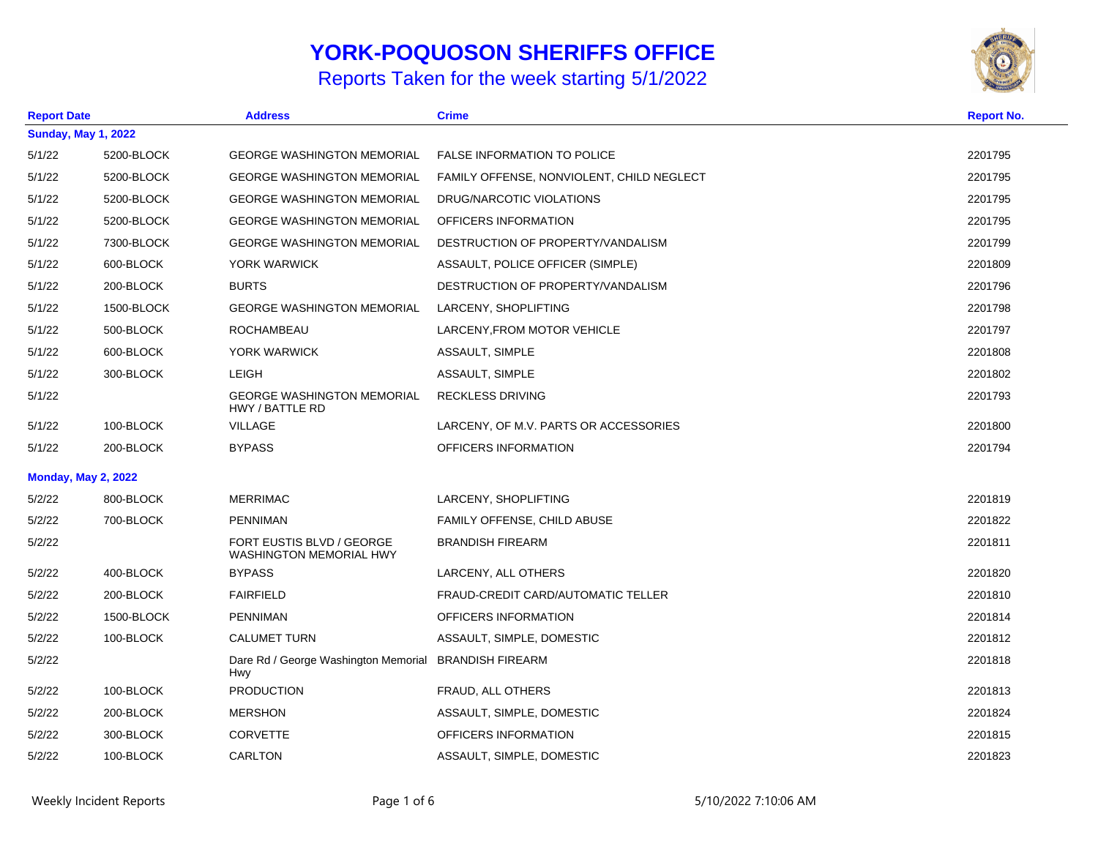## **YORK-POQUOSON SHERIFFS OFFICE**

Reports Taken for the week starting 5/1/2022



| <b>Report Date</b> |                            | <b>Address</b>                                                      | <b>Crime</b>                              | <b>Report No.</b> |
|--------------------|----------------------------|---------------------------------------------------------------------|-------------------------------------------|-------------------|
|                    | <b>Sunday, May 1, 2022</b> |                                                                     |                                           |                   |
| 5/1/22             | 5200-BLOCK                 | <b>GEORGE WASHINGTON MEMORIAL</b>                                   | <b>FALSE INFORMATION TO POLICE</b>        | 2201795           |
| 5/1/22             | 5200-BLOCK                 | <b>GEORGE WASHINGTON MEMORIAL</b>                                   | FAMILY OFFENSE, NONVIOLENT, CHILD NEGLECT | 2201795           |
| 5/1/22             | 5200-BLOCK                 | <b>GEORGE WASHINGTON MEMORIAL</b>                                   | DRUG/NARCOTIC VIOLATIONS                  | 2201795           |
| 5/1/22             | 5200-BLOCK                 | <b>GEORGE WASHINGTON MEMORIAL</b>                                   | OFFICERS INFORMATION                      | 2201795           |
| 5/1/22             | 7300-BLOCK                 | <b>GEORGE WASHINGTON MEMORIAL</b>                                   | DESTRUCTION OF PROPERTY/VANDALISM         | 2201799           |
| 5/1/22             | 600-BLOCK                  | YORK WARWICK                                                        | ASSAULT, POLICE OFFICER (SIMPLE)          | 2201809           |
| 5/1/22             | 200-BLOCK                  | <b>BURTS</b>                                                        | DESTRUCTION OF PROPERTY/VANDALISM         | 2201796           |
| 5/1/22             | 1500-BLOCK                 | <b>GEORGE WASHINGTON MEMORIAL</b>                                   | LARCENY, SHOPLIFTING                      | 2201798           |
| 5/1/22             | 500-BLOCK                  | <b>ROCHAMBEAU</b>                                                   | LARCENY, FROM MOTOR VEHICLE               | 2201797           |
| 5/1/22             | 600-BLOCK                  | YORK WARWICK                                                        | ASSAULT, SIMPLE                           | 2201808           |
| 5/1/22             | 300-BLOCK                  | <b>LEIGH</b>                                                        | ASSAULT, SIMPLE                           | 2201802           |
| 5/1/22             |                            | <b>GEORGE WASHINGTON MEMORIAL</b><br>HWY / BATTLE RD                | <b>RECKLESS DRIVING</b>                   | 2201793           |
| 5/1/22             | 100-BLOCK                  | <b>VILLAGE</b>                                                      | LARCENY, OF M.V. PARTS OR ACCESSORIES     | 2201800           |
| 5/1/22             | 200-BLOCK                  | <b>BYPASS</b>                                                       | OFFICERS INFORMATION                      | 2201794           |
|                    | <b>Monday, May 2, 2022</b> |                                                                     |                                           |                   |
| 5/2/22             | 800-BLOCK                  | <b>MERRIMAC</b>                                                     | LARCENY, SHOPLIFTING                      | 2201819           |
| 5/2/22             | 700-BLOCK                  | PENNIMAN                                                            | <b>FAMILY OFFENSE, CHILD ABUSE</b>        | 2201822           |
| 5/2/22             |                            | FORT EUSTIS BLVD / GEORGE<br><b>WASHINGTON MEMORIAL HWY</b>         | <b>BRANDISH FIREARM</b>                   | 2201811           |
| 5/2/22             | 400-BLOCK                  | <b>BYPASS</b>                                                       | LARCENY, ALL OTHERS                       | 2201820           |
| 5/2/22             | 200-BLOCK                  | <b>FAIRFIELD</b>                                                    | FRAUD-CREDIT CARD/AUTOMATIC TELLER        | 2201810           |
| 5/2/22             | 1500-BLOCK                 | <b>PENNIMAN</b>                                                     | OFFICERS INFORMATION                      | 2201814           |
| 5/2/22             | 100-BLOCK                  | <b>CALUMET TURN</b>                                                 | ASSAULT, SIMPLE, DOMESTIC                 | 2201812           |
| 5/2/22             |                            | Dare Rd / George Washington Memorial BRANDISH FIREARM<br><b>Hwy</b> |                                           | 2201818           |
| 5/2/22             | 100-BLOCK                  | <b>PRODUCTION</b>                                                   | FRAUD, ALL OTHERS                         | 2201813           |
| 5/2/22             | 200-BLOCK                  | <b>MERSHON</b>                                                      | ASSAULT, SIMPLE, DOMESTIC                 | 2201824           |
| 5/2/22             | 300-BLOCK                  | <b>CORVETTE</b>                                                     | OFFICERS INFORMATION                      | 2201815           |
| 5/2/22             | 100-BLOCK                  | <b>CARLTON</b>                                                      | ASSAULT, SIMPLE, DOMESTIC                 | 2201823           |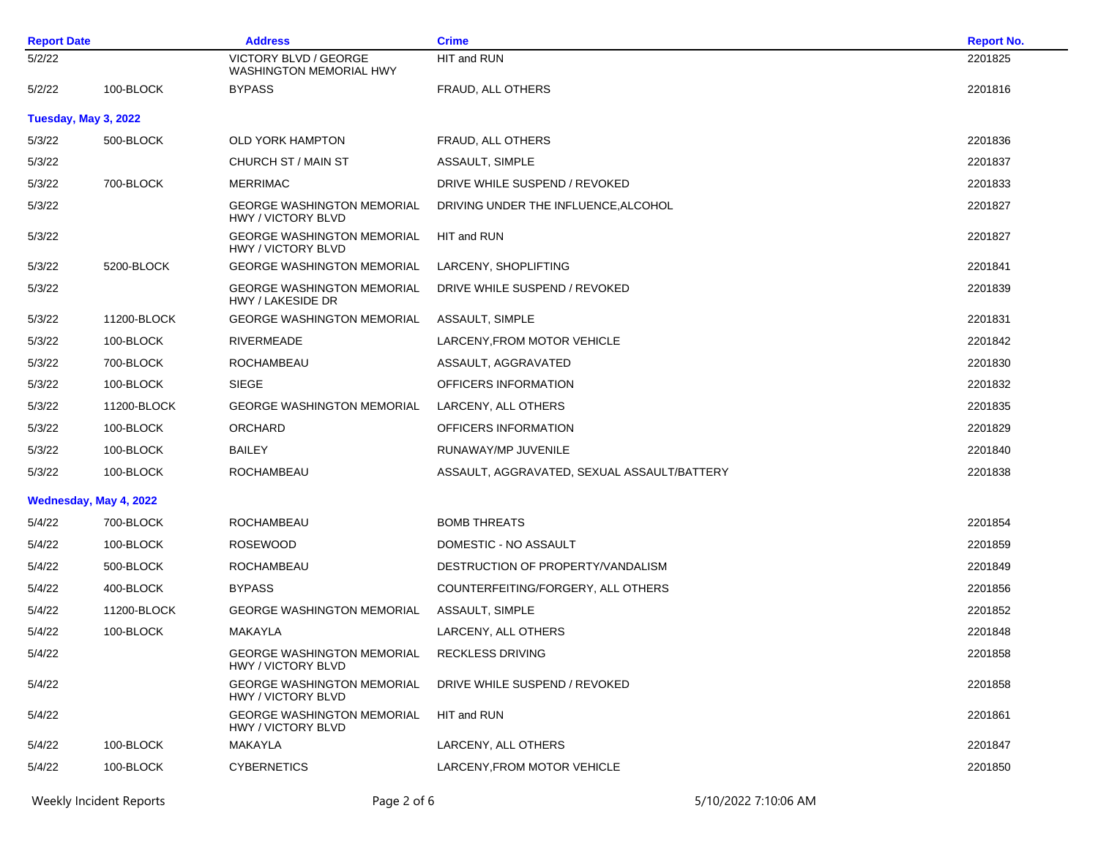| <b>Report Date</b>   |                        | <b>Address</b>                                                 | <b>Crime</b>                                | <b>Report No.</b> |
|----------------------|------------------------|----------------------------------------------------------------|---------------------------------------------|-------------------|
| 5/2/22               |                        | VICTORY BLVD / GEORGE<br><b>WASHINGTON MEMORIAL HWY</b>        | HIT and RUN                                 | 2201825           |
| 5/2/22               | 100-BLOCK              | <b>BYPASS</b>                                                  | FRAUD, ALL OTHERS                           | 2201816           |
| Tuesday, May 3, 2022 |                        |                                                                |                                             |                   |
| 5/3/22               | 500-BLOCK              | <b>OLD YORK HAMPTON</b>                                        | FRAUD, ALL OTHERS                           | 2201836           |
| 5/3/22               |                        | CHURCH ST / MAIN ST                                            | ASSAULT, SIMPLE                             | 2201837           |
| 5/3/22               | 700-BLOCK              | <b>MERRIMAC</b>                                                | DRIVE WHILE SUSPEND / REVOKED               | 2201833           |
| 5/3/22               |                        | <b>GEORGE WASHINGTON MEMORIAL</b><br><b>HWY / VICTORY BLVD</b> | DRIVING UNDER THE INFLUENCE, ALCOHOL        | 2201827           |
| 5/3/22               |                        | <b>GEORGE WASHINGTON MEMORIAL</b><br>HWY / VICTORY BLVD        | HIT and RUN                                 | 2201827           |
| 5/3/22               | 5200-BLOCK             | <b>GEORGE WASHINGTON MEMORIAL</b>                              | LARCENY, SHOPLIFTING                        | 2201841           |
| 5/3/22               |                        | <b>GEORGE WASHINGTON MEMORIAL</b><br>HWY / LAKESIDE DR         | DRIVE WHILE SUSPEND / REVOKED               | 2201839           |
| 5/3/22               | 11200-BLOCK            | <b>GEORGE WASHINGTON MEMORIAL</b>                              | ASSAULT, SIMPLE                             | 2201831           |
| 5/3/22               | 100-BLOCK              | RIVERMEADE                                                     | LARCENY, FROM MOTOR VEHICLE                 | 2201842           |
| 5/3/22               | 700-BLOCK              | <b>ROCHAMBEAU</b>                                              | ASSAULT, AGGRAVATED                         | 2201830           |
| 5/3/22               | 100-BLOCK              | <b>SIEGE</b>                                                   | OFFICERS INFORMATION                        | 2201832           |
| 5/3/22               | 11200-BLOCK            | <b>GEORGE WASHINGTON MEMORIAL</b>                              | LARCENY, ALL OTHERS                         | 2201835           |
| 5/3/22               | 100-BLOCK              | ORCHARD                                                        | OFFICERS INFORMATION                        | 2201829           |
| 5/3/22               | 100-BLOCK              | <b>BAILEY</b>                                                  | RUNAWAY/MP JUVENILE                         | 2201840           |
| 5/3/22               | 100-BLOCK              | ROCHAMBEAU                                                     | ASSAULT, AGGRAVATED, SEXUAL ASSAULT/BATTERY | 2201838           |
|                      | Wednesday, May 4, 2022 |                                                                |                                             |                   |
| 5/4/22               | 700-BLOCK              | ROCHAMBEAU                                                     | <b>BOMB THREATS</b>                         | 2201854           |
| 5/4/22               | 100-BLOCK              | <b>ROSEWOOD</b>                                                | DOMESTIC - NO ASSAULT                       | 2201859           |
| 5/4/22               | 500-BLOCK              | ROCHAMBEAU                                                     | DESTRUCTION OF PROPERTY/VANDALISM           | 2201849           |
| 5/4/22               | 400-BLOCK              | <b>BYPASS</b>                                                  | COUNTERFEITING/FORGERY, ALL OTHERS          | 2201856           |
| 5/4/22               | 11200-BLOCK            | <b>GEORGE WASHINGTON MEMORIAL</b>                              | ASSAULT, SIMPLE                             | 2201852           |
| 5/4/22               | 100-BLOCK              | MAKAYLA                                                        | LARCENY, ALL OTHERS                         | 2201848           |
| 5/4/22               |                        | <b>GEORGE WASHINGTON MEMORIAL</b><br>HWY / VICTORY BLVD        | <b>RECKLESS DRIVING</b>                     | 2201858           |
| 5/4/22               |                        | <b>GEORGE WASHINGTON MEMORIAL</b><br><b>HWY / VICTORY BLVD</b> | DRIVE WHILE SUSPEND / REVOKED               | 2201858           |
| 5/4/22               |                        | <b>GEORGE WASHINGTON MEMORIAL</b><br>HWY / VICTORY BLVD        | HIT and RUN                                 | 2201861           |
| 5/4/22               | 100-BLOCK              | MAKAYLA                                                        | LARCENY, ALL OTHERS                         | 2201847           |
| 5/4/22               | 100-BLOCK              | <b>CYBERNETICS</b>                                             | LARCENY, FROM MOTOR VEHICLE                 | 2201850           |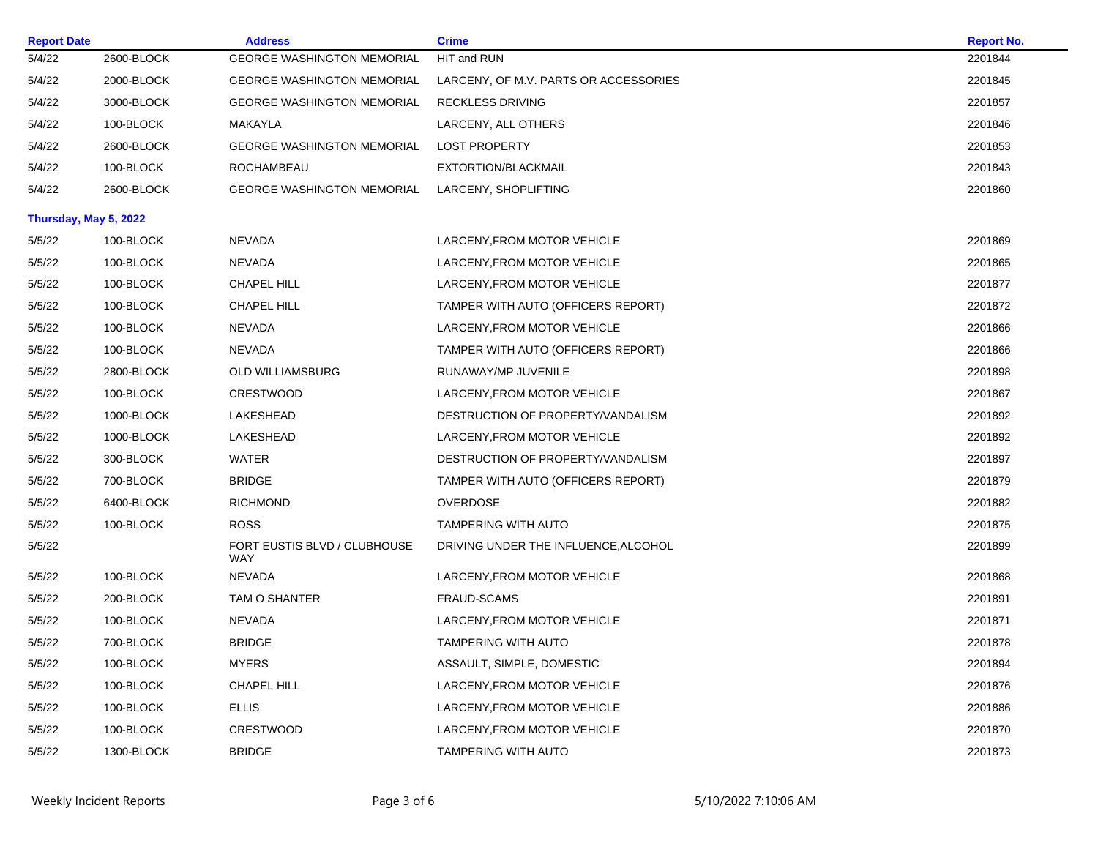| <b>Report Date</b>    |            | <b>Address</b>                             | <b>Crime</b>                          | <b>Report No.</b> |
|-----------------------|------------|--------------------------------------------|---------------------------------------|-------------------|
| 5/4/22                | 2600-BLOCK | <b>GEORGE WASHINGTON MEMORIAL</b>          | HIT and RUN                           | 2201844           |
| 5/4/22                | 2000-BLOCK | <b>GEORGE WASHINGTON MEMORIAL</b>          | LARCENY, OF M.V. PARTS OR ACCESSORIES | 2201845           |
| 5/4/22                | 3000-BLOCK | <b>GEORGE WASHINGTON MEMORIAL</b>          | <b>RECKLESS DRIVING</b>               | 2201857           |
| 5/4/22                | 100-BLOCK  | MAKAYLA                                    | LARCENY, ALL OTHERS                   | 2201846           |
| 5/4/22                | 2600-BLOCK | <b>GEORGE WASHINGTON MEMORIAL</b>          | <b>LOST PROPERTY</b>                  | 2201853           |
| 5/4/22                | 100-BLOCK  | ROCHAMBEAU                                 | EXTORTION/BLACKMAIL                   | 2201843           |
| 5/4/22                | 2600-BLOCK | <b>GEORGE WASHINGTON MEMORIAL</b>          | LARCENY, SHOPLIFTING                  | 2201860           |
| Thursday, May 5, 2022 |            |                                            |                                       |                   |
| 5/5/22                | 100-BLOCK  | <b>NEVADA</b>                              | LARCENY, FROM MOTOR VEHICLE           | 2201869           |
| 5/5/22                | 100-BLOCK  | <b>NEVADA</b>                              | LARCENY, FROM MOTOR VEHICLE           | 2201865           |
| 5/5/22                | 100-BLOCK  | <b>CHAPEL HILL</b>                         | LARCENY, FROM MOTOR VEHICLE           | 2201877           |
| 5/5/22                | 100-BLOCK  | <b>CHAPEL HILL</b>                         | TAMPER WITH AUTO (OFFICERS REPORT)    | 2201872           |
| 5/5/22                | 100-BLOCK  | <b>NEVADA</b>                              | LARCENY, FROM MOTOR VEHICLE           | 2201866           |
| 5/5/22                | 100-BLOCK  | NEVADA                                     | TAMPER WITH AUTO (OFFICERS REPORT)    | 2201866           |
| 5/5/22                | 2800-BLOCK | <b>OLD WILLIAMSBURG</b>                    | RUNAWAY/MP JUVENILE                   | 2201898           |
| 5/5/22                | 100-BLOCK  | <b>CRESTWOOD</b>                           | LARCENY, FROM MOTOR VEHICLE           | 2201867           |
| 5/5/22                | 1000-BLOCK | LAKESHEAD                                  | DESTRUCTION OF PROPERTY/VANDALISM     | 2201892           |
| 5/5/22                | 1000-BLOCK | LAKESHEAD                                  | LARCENY, FROM MOTOR VEHICLE           | 2201892           |
| 5/5/22                | 300-BLOCK  | <b>WATER</b>                               | DESTRUCTION OF PROPERTY/VANDALISM     | 2201897           |
| 5/5/22                | 700-BLOCK  | <b>BRIDGE</b>                              | TAMPER WITH AUTO (OFFICERS REPORT)    | 2201879           |
| 5/5/22                | 6400-BLOCK | <b>RICHMOND</b>                            | <b>OVERDOSE</b>                       | 2201882           |
| 5/5/22                | 100-BLOCK  | <b>ROSS</b>                                | <b>TAMPERING WITH AUTO</b>            | 2201875           |
| 5/5/22                |            | FORT EUSTIS BLVD / CLUBHOUSE<br><b>WAY</b> | DRIVING UNDER THE INFLUENCE, ALCOHOL  | 2201899           |
| 5/5/22                | 100-BLOCK  | <b>NEVADA</b>                              | LARCENY, FROM MOTOR VEHICLE           | 2201868           |
| 5/5/22                | 200-BLOCK  | TAM O SHANTER                              | <b>FRAUD-SCAMS</b>                    | 2201891           |
| 5/5/22                | 100-BLOCK  | NEVADA                                     | LARCENY, FROM MOTOR VEHICLE           | 2201871           |
| 5/5/22                | 700-BLOCK  | <b>BRIDGE</b>                              | <b>TAMPERING WITH AUTO</b>            | 2201878           |
| 5/5/22                | 100-BLOCK  | <b>MYERS</b>                               | ASSAULT, SIMPLE, DOMESTIC             | 2201894           |
| 5/5/22                | 100-BLOCK  | <b>CHAPEL HILL</b>                         | LARCENY, FROM MOTOR VEHICLE           | 2201876           |
| 5/5/22                | 100-BLOCK  | <b>ELLIS</b>                               | LARCENY, FROM MOTOR VEHICLE           | 2201886           |
| 5/5/22                | 100-BLOCK  | <b>CRESTWOOD</b>                           | LARCENY, FROM MOTOR VEHICLE           | 2201870           |
| 5/5/22                | 1300-BLOCK | <b>BRIDGE</b>                              | TAMPERING WITH AUTO                   | 2201873           |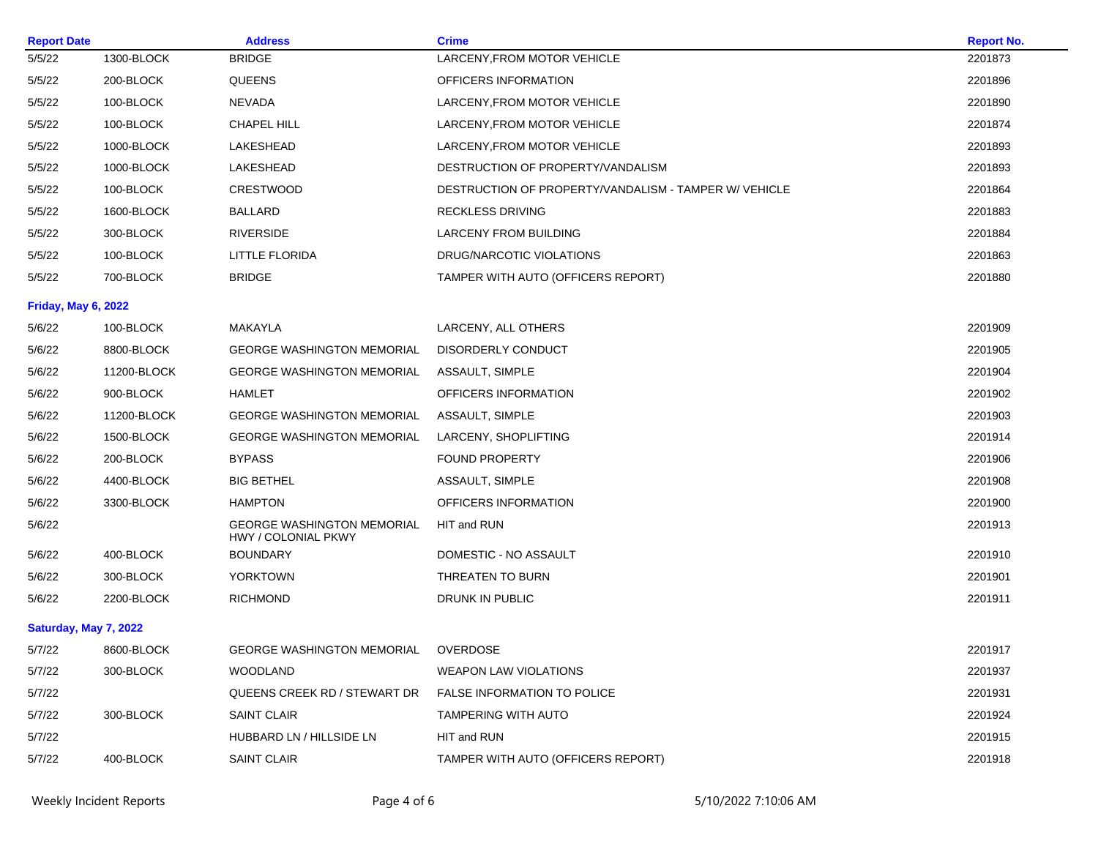| <b>Report Date</b>         |             | <b>Address</b>                                                  | <b>Crime</b>                                          | <b>Report No.</b> |
|----------------------------|-------------|-----------------------------------------------------------------|-------------------------------------------------------|-------------------|
| 5/5/22                     | 1300-BLOCK  | <b>BRIDGE</b>                                                   | LARCENY, FROM MOTOR VEHICLE                           | 2201873           |
| 5/5/22                     | 200-BLOCK   | <b>QUEENS</b>                                                   | OFFICERS INFORMATION                                  | 2201896           |
| 5/5/22                     | 100-BLOCK   | <b>NEVADA</b>                                                   | LARCENY, FROM MOTOR VEHICLE                           | 2201890           |
| 5/5/22                     | 100-BLOCK   | CHAPEL HILL                                                     | LARCENY, FROM MOTOR VEHICLE                           | 2201874           |
| 5/5/22                     | 1000-BLOCK  | LAKESHEAD                                                       | LARCENY, FROM MOTOR VEHICLE                           | 2201893           |
| 5/5/22                     | 1000-BLOCK  | LAKESHEAD                                                       | DESTRUCTION OF PROPERTY/VANDALISM                     | 2201893           |
| 5/5/22                     | 100-BLOCK   | <b>CRESTWOOD</b>                                                | DESTRUCTION OF PROPERTY/VANDALISM - TAMPER W/ VEHICLE | 2201864           |
| 5/5/22                     | 1600-BLOCK  | BALLARD                                                         | <b>RECKLESS DRIVING</b>                               | 2201883           |
| 5/5/22                     | 300-BLOCK   | <b>RIVERSIDE</b>                                                | <b>LARCENY FROM BUILDING</b>                          | 2201884           |
| 5/5/22                     | 100-BLOCK   | LITTLE FLORIDA                                                  | DRUG/NARCOTIC VIOLATIONS                              | 2201863           |
| 5/5/22                     | 700-BLOCK   | <b>BRIDGE</b>                                                   | TAMPER WITH AUTO (OFFICERS REPORT)                    | 2201880           |
| <b>Friday, May 6, 2022</b> |             |                                                                 |                                                       |                   |
| 5/6/22                     | 100-BLOCK   | MAKAYLA                                                         | LARCENY, ALL OTHERS                                   | 2201909           |
| 5/6/22                     | 8800-BLOCK  | <b>GEORGE WASHINGTON MEMORIAL</b>                               | DISORDERLY CONDUCT                                    | 2201905           |
| 5/6/22                     | 11200-BLOCK | <b>GEORGE WASHINGTON MEMORIAL</b>                               | ASSAULT, SIMPLE                                       | 2201904           |
| 5/6/22                     | 900-BLOCK   | HAMLET                                                          | OFFICERS INFORMATION                                  | 2201902           |
| 5/6/22                     | 11200-BLOCK | <b>GEORGE WASHINGTON MEMORIAL</b>                               | ASSAULT, SIMPLE                                       | 2201903           |
| 5/6/22                     | 1500-BLOCK  | <b>GEORGE WASHINGTON MEMORIAL</b>                               | LARCENY, SHOPLIFTING                                  | 2201914           |
| 5/6/22                     | 200-BLOCK   | <b>BYPASS</b>                                                   | <b>FOUND PROPERTY</b>                                 | 2201906           |
| 5/6/22                     | 4400-BLOCK  | <b>BIG BETHEL</b>                                               | ASSAULT, SIMPLE                                       | 2201908           |
| 5/6/22                     | 3300-BLOCK  | <b>HAMPTON</b>                                                  | OFFICERS INFORMATION                                  | 2201900           |
| 5/6/22                     |             | <b>GEORGE WASHINGTON MEMORIAL</b><br><b>HWY / COLONIAL PKWY</b> | HIT and RUN                                           | 2201913           |
| 5/6/22                     | 400-BLOCK   | BOUNDARY                                                        | DOMESTIC - NO ASSAULT                                 | 2201910           |
| 5/6/22                     | 300-BLOCK   | YORKTOWN                                                        | THREATEN TO BURN                                      | 2201901           |
| 5/6/22                     | 2200-BLOCK  | RICHMOND                                                        | DRUNK IN PUBLIC                                       | 2201911           |
| Saturday, May 7, 2022      |             |                                                                 |                                                       |                   |
| 5/7/22                     | 8600-BLOCK  | GEORGE WASHINGTON MEMORIAL                                      | OVERDOSE                                              | 2201917           |
| 5/7/22                     | 300-BLOCK   | <b>WOODLAND</b>                                                 | <b>WEAPON LAW VIOLATIONS</b>                          | 2201937           |
| 5/7/22                     |             | QUEENS CREEK RD / STEWART DR                                    | <b>FALSE INFORMATION TO POLICE</b>                    | 2201931           |
| 5/7/22                     | 300-BLOCK   | SAINT CLAIR                                                     | TAMPERING WITH AUTO                                   | 2201924           |
| 5/7/22                     |             | HUBBARD LN / HILLSIDE LN                                        | HIT and RUN                                           | 2201915           |
| 5/7/22                     | 400-BLOCK   | SAINT CLAIR                                                     | TAMPER WITH AUTO (OFFICERS REPORT)                    | 2201918           |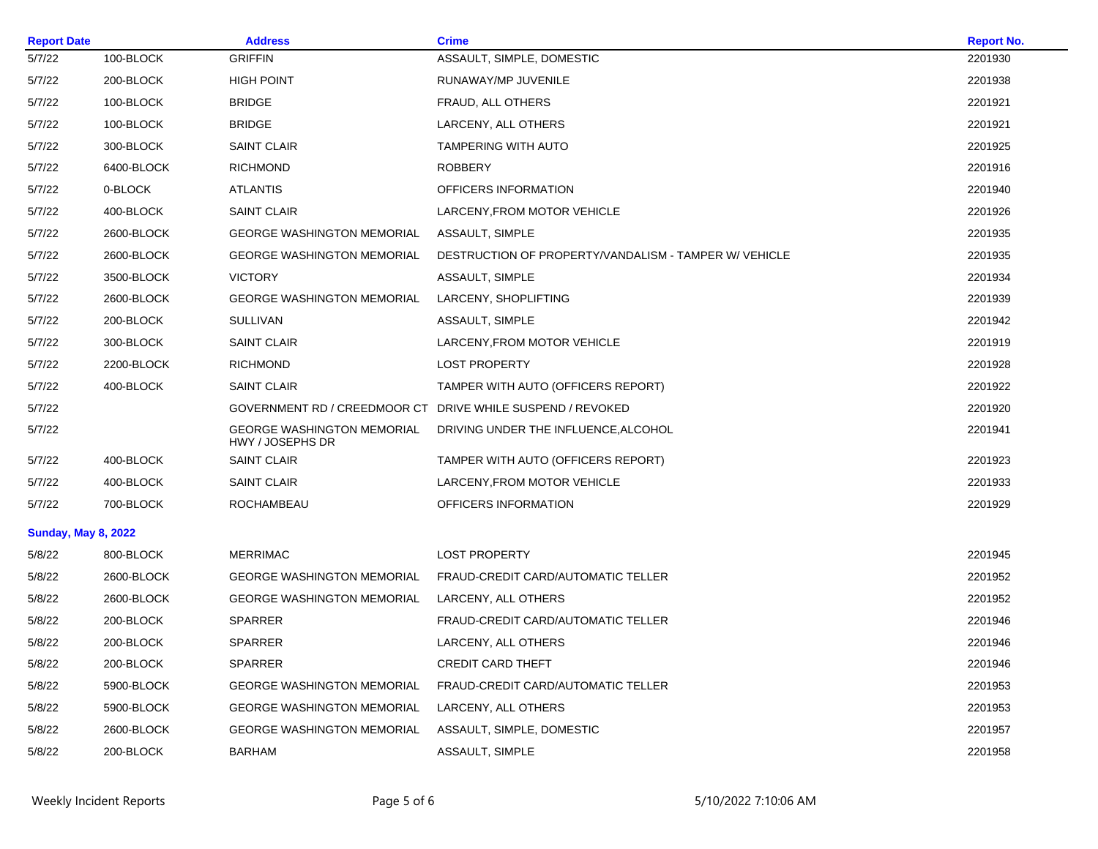| <b>Report Date</b>         |            | <b>Address</b>                                             | <b>Crime</b>                                          | <b>Report No.</b> |
|----------------------------|------------|------------------------------------------------------------|-------------------------------------------------------|-------------------|
| 5/7/22                     | 100-BLOCK  | <b>GRIFFIN</b>                                             | ASSAULT, SIMPLE, DOMESTIC                             | 2201930           |
| 5/7/22                     | 200-BLOCK  | <b>HIGH POINT</b>                                          | RUNAWAY/MP JUVENILE                                   | 2201938           |
| 5/7/22                     | 100-BLOCK  | <b>BRIDGE</b>                                              | FRAUD, ALL OTHERS                                     | 2201921           |
| 5/7/22                     | 100-BLOCK  | <b>BRIDGE</b>                                              | LARCENY, ALL OTHERS                                   | 2201921           |
| 5/7/22                     | 300-BLOCK  | <b>SAINT CLAIR</b>                                         | <b>TAMPERING WITH AUTO</b>                            | 2201925           |
| 5/7/22                     | 6400-BLOCK | <b>RICHMOND</b>                                            | <b>ROBBERY</b>                                        | 2201916           |
| 5/7/22                     | 0-BLOCK    | <b>ATLANTIS</b>                                            | OFFICERS INFORMATION                                  | 2201940           |
| 5/7/22                     | 400-BLOCK  | <b>SAINT CLAIR</b>                                         | LARCENY, FROM MOTOR VEHICLE                           | 2201926           |
| 5/7/22                     | 2600-BLOCK | <b>GEORGE WASHINGTON MEMORIAL</b>                          | ASSAULT, SIMPLE                                       | 2201935           |
| 5/7/22                     | 2600-BLOCK | <b>GEORGE WASHINGTON MEMORIAL</b>                          | DESTRUCTION OF PROPERTY/VANDALISM - TAMPER W/ VEHICLE | 2201935           |
| 5/7/22                     | 3500-BLOCK | <b>VICTORY</b>                                             | ASSAULT, SIMPLE                                       | 2201934           |
| 5/7/22                     | 2600-BLOCK | <b>GEORGE WASHINGTON MEMORIAL</b>                          | LARCENY, SHOPLIFTING                                  | 2201939           |
| 5/7/22                     | 200-BLOCK  | <b>SULLIVAN</b>                                            | ASSAULT, SIMPLE                                       | 2201942           |
| 5/7/22                     | 300-BLOCK  | SAINT CLAIR                                                | LARCENY, FROM MOTOR VEHICLE                           | 2201919           |
| 5/7/22                     | 2200-BLOCK | <b>RICHMOND</b>                                            | <b>LOST PROPERTY</b>                                  | 2201928           |
| 5/7/22                     | 400-BLOCK  | <b>SAINT CLAIR</b>                                         | TAMPER WITH AUTO (OFFICERS REPORT)                    | 2201922           |
| 5/7/22                     |            | GOVERNMENT RD / CREEDMOOR CT DRIVE WHILE SUSPEND / REVOKED |                                                       | 2201920           |
| 5/7/22                     |            | <b>GEORGE WASHINGTON MEMORIAL</b><br>HWY / JOSEPHS DR      | DRIVING UNDER THE INFLUENCE, ALCOHOL                  | 2201941           |
| 5/7/22                     | 400-BLOCK  | <b>SAINT CLAIR</b>                                         | TAMPER WITH AUTO (OFFICERS REPORT)                    | 2201923           |
| 5/7/22                     | 400-BLOCK  | <b>SAINT CLAIR</b>                                         | LARCENY, FROM MOTOR VEHICLE                           | 2201933           |
| 5/7/22                     | 700-BLOCK  | ROCHAMBEAU                                                 | OFFICERS INFORMATION                                  | 2201929           |
| <b>Sunday, May 8, 2022</b> |            |                                                            |                                                       |                   |
| 5/8/22                     | 800-BLOCK  | <b>MERRIMAC</b>                                            | <b>LOST PROPERTY</b>                                  | 2201945           |
| 5/8/22                     | 2600-BLOCK | <b>GEORGE WASHINGTON MEMORIAL</b>                          | FRAUD-CREDIT CARD/AUTOMATIC TELLER                    | 2201952           |
| 5/8/22                     | 2600-BLOCK | <b>GEORGE WASHINGTON MEMORIAL</b>                          | LARCENY, ALL OTHERS                                   | 2201952           |
| 5/8/22                     | 200-BLOCK  | <b>SPARRER</b>                                             | FRAUD-CREDIT CARD/AUTOMATIC TELLER                    | 2201946           |
| 5/8/22                     | 200-BLOCK  | <b>SPARRER</b>                                             | LARCENY, ALL OTHERS                                   | 2201946           |
| 5/8/22                     | 200-BLOCK  | <b>SPARRER</b>                                             | <b>CREDIT CARD THEFT</b>                              | 2201946           |
| 5/8/22                     | 5900-BLOCK | <b>GEORGE WASHINGTON MEMORIAL</b>                          | FRAUD-CREDIT CARD/AUTOMATIC TELLER                    | 2201953           |
| 5/8/22                     | 5900-BLOCK | <b>GEORGE WASHINGTON MEMORIAL</b>                          | LARCENY, ALL OTHERS                                   | 2201953           |
| 5/8/22                     | 2600-BLOCK | <b>GEORGE WASHINGTON MEMORIAL</b>                          | ASSAULT, SIMPLE, DOMESTIC                             | 2201957           |
| 5/8/22                     | 200-BLOCK  | <b>BARHAM</b>                                              | ASSAULT, SIMPLE                                       | 2201958           |